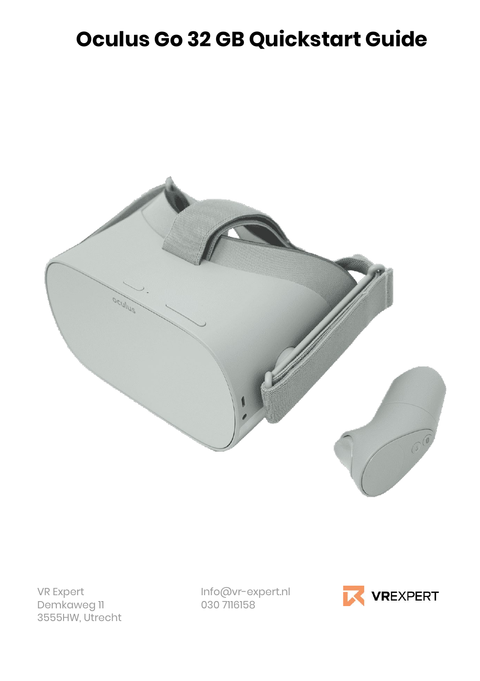# **Oculus Go 32 GB Quickstart Guide**



Demkaweg 11 3555HW, Utrecht

VR Expert Info@vr-expert.nl

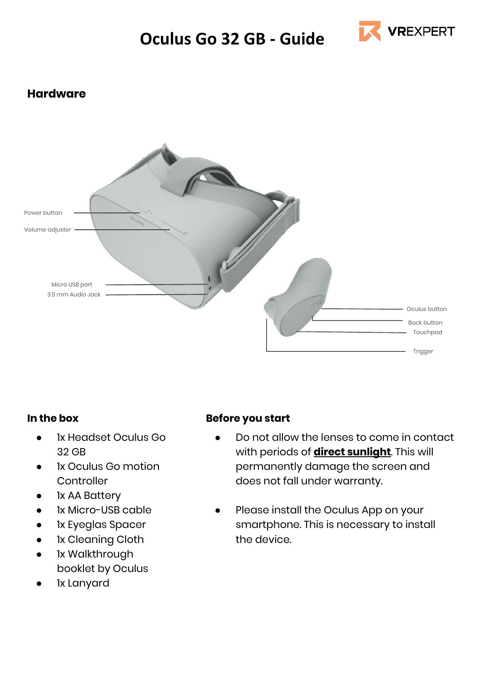

# **Hardware**



#### **In the box**

- Ix Headset Oculus Go 32 GB
- Ix Oculus Go motion **Controller**
- 1x AA Battery
- 1x Micro-USB cable
- 1x Eyeglas Spacer
- 1x Cleaning Cloth
- Ix Walkthrough booklet by Oculus
- lx Lanyard

#### **Before you start**

- Do not allow the lenses to come in contact with periods of **direct sunlight**. This will permanently damage the screen and does not fall under warranty.
- Please install the Oculus App on your smartphone. This is necessary to install the device.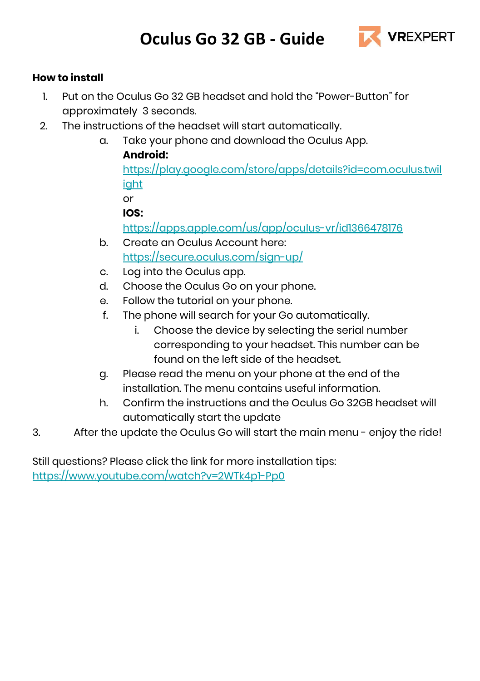

# **How to install**

- 1. Put on the Oculus Go 32 GB headset and hold the "Power-Button" for approximately 3 seconds.
- 2. The instructions of the headset will start automatically.
	- a. Take your phone and download the Oculus App. **Android:**

[https://play.google.com/store/apps/details?id=com.oculus.twil](https://play.google.com/store/apps/details?id=com.oculus.twilight) [ight](https://play.google.com/store/apps/details?id=com.oculus.twilight) or

**IOS:** 

<https://apps.apple.com/us/app/oculus-vr/id1366478176>

- b. Create an Oculus Account here: <https://secure.oculus.com/sign-up/>
- c. Log into the Oculus app.
- d. Choose the Oculus Go on your phone.
- e. Follow the tutorial on your phone.
- f. The phone will search for your Go automatically.
	- i. Choose the device by selecting the serial number corresponding to your headset. This number can be found on the left side of the headset.
- g. Please read the menu on your phone at the end of the installation. The menu contains useful information.
- h. Confirm the instructions and the Oculus Go 32GB headset will automatically start the update
- 3. After the update the Oculus Go will start the main menu enjoy the ride!

Still questions? Please click the link for more installation tips: <https://www.youtube.com/watch?v=2WTk4p1-Pp0>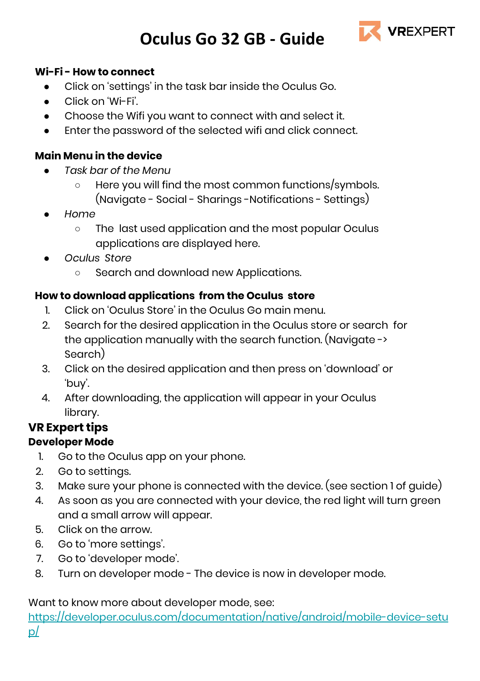

### **Wi-Fi - How to connect**

- Click on 'settings' in the task bar inside the Oculus Go.
- Click on 'Wi-Fi'.
- Choose the Wifi you want to connect with and select it.
- Enter the password of the selected wifi and click connect.

# **Main Menu in the device**

- *● Task bar of the Menu*
	- *○* Here you will find the most common functions/symbols. (Navigate - Social - Sharings -Notifications - Settings)
- *● Home*
	- *○* The last used application and the most popular Oculus applications are displayed here.
- *● Oculus Store*
	- *○* Search and download new Applications.

# **How to download applications from the Oculus store**

- 1. Click on 'Oculus Store' in the Oculus Go main menu.
- 2. Search for the desired application in the Oculus store or search for the application manually with the search function. (Navigate -> Search)
- 3. Click on the desired application and then press on 'download' or 'buy'.
- 4. After downloading, the application will appear in your Oculus library.

# **VR Expert tips**

# **Developer Mode**

- 1. Go to the Oculus app on your phone.
- 2. Go to settings.
- 3. Make sure your phone is connected with the device. (see section 1 of guide)
- 4. As soon as you are connected with your device, the red light will turn green and a small arrow will appear.
- 5. Click on the arrow.
- 6. Go to 'more settings'.
- 7. Go to 'developer mode'.
- 8. Turn on developer mode The device is now in developer mode.

Want to know more about developer mode, see:

[https://developer.oculus.com/documentation/native/android/mobile-device-setu](https://developer.oculus.com/documentation/native/android/mobile-device-setup/) [p/](https://developer.oculus.com/documentation/native/android/mobile-device-setup/)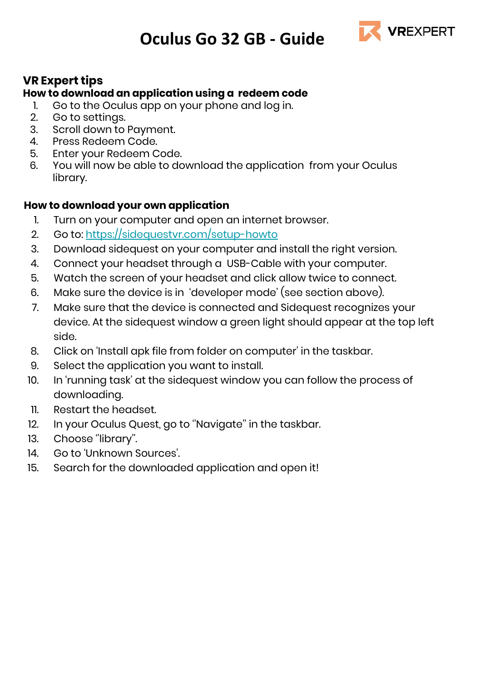

# **VR Expert tips**

# **How to download an application using a redeem code**

- 1. Go to the Oculus app on your phone and log in.
- 2. Go to settings.
- 3. Scroll down to Payment.
- 4. Press Redeem Code.
- 5. Enter your Redeem Code.
- 6. You will now be able to download the application from your Oculus library.

# **How to download your own application**

- 1. Turn on your computer and open an internet browser.
- 2. Go to: <https://sidequestvr.com/setup-howto>
- 3. Download sidequest on your computer and install the right version.
- 4. Connect your headset through a USB-Cable with your computer.
- 5. Watch the screen of your headset and click allow twice to connect.
- 6. Make sure the device is in 'developer mode' (see section above).
- 7. Make sure that the device is connected and Sidequest recognizes your device. At the sidequest window a green light should appear at the top left side.
- 8. Click on 'Install apk file from folder on computer' in the taskbar.
- 9. Select the application you want to install.
- 10. In 'running task' at the sidequest window you can follow the process of downloading.
- 11. Restart the headset.
- 12. In your Oculus Quest, go to ''Navigate'' in the taskbar.
- 13. Choose ''library''.
- 14. Go to 'Unknown Sources'.
- 15. Search for the downloaded application and open it!